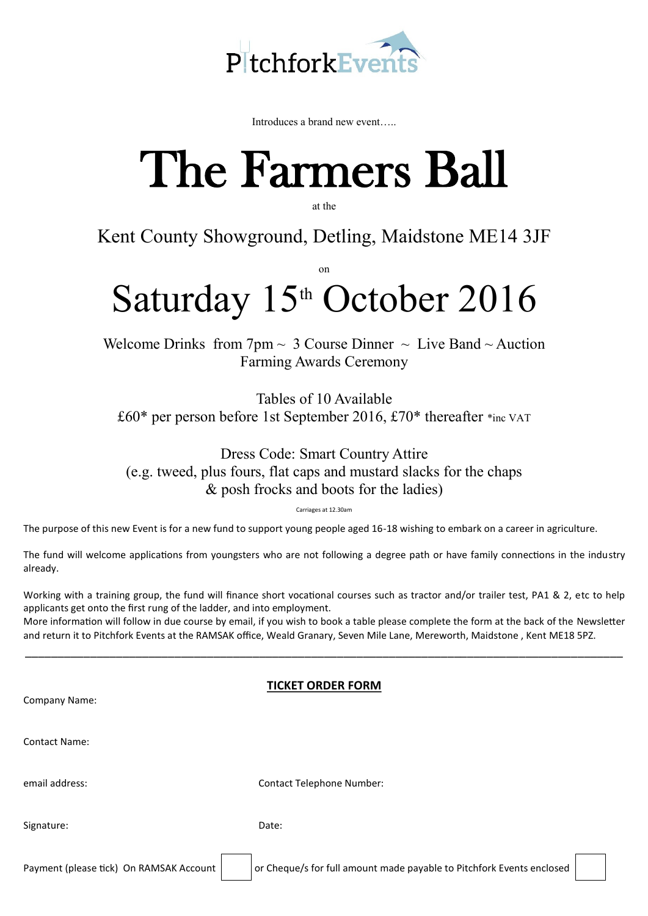

Introduces a brand new event…..

## The Farmers Ball

at the

## Kent County Showground, Detling, Maidstone ME14 3JF

on

## Saturday  $15<sup>th</sup>$  October 2016

Welcome Drinks from  $7 \text{pm} \sim 3$  Course Dinner  $\sim$  Live Band  $\sim$  Auction Farming Awards Ceremony

Tables of 10 Available £60\* per person before 1st September 2016, £70\* thereafter \*inc VAT

Dress Code: Smart Country Attire (e.g. tweed, plus fours, flat caps and mustard slacks for the chaps & posh frocks and boots for the ladies)

Carriages at 12.30am

The purpose of this new Event is for a new fund to support young people aged 16-18 wishing to embark on a career in agriculture.

The fund will welcome applications from youngsters who are not following a degree path or have family connections in the industry already.

Working with a training group, the fund will finance short vocational courses such as tractor and/or trailer test, PA1 & 2, etc to help applicants get onto the first rung of the ladder, and into employment.

More information will follow in due course by email, if you wish to book a table please complete the form at the back of the Newsletter and return it to Pitchfork Events at the RAMSAK office, Weald Granary, Seven Mile Lane, Mereworth, Maidstone , Kent ME18 5PZ.

\_\_\_\_\_\_\_\_\_\_\_\_\_\_\_\_\_\_\_\_\_\_\_\_\_\_\_\_\_\_\_\_\_\_\_\_\_\_\_\_\_\_\_\_\_\_\_\_\_\_\_\_\_\_\_\_\_\_\_\_\_\_\_\_\_\_\_\_\_\_\_\_\_\_\_\_\_\_\_\_\_\_\_\_\_\_\_\_\_\_\_\_

## **TICKET ORDER FORM**

| Company Name:                           |                                                                       |
|-----------------------------------------|-----------------------------------------------------------------------|
| <b>Contact Name:</b>                    |                                                                       |
| email address:                          | <b>Contact Telephone Number:</b>                                      |
| Signature:                              | Date:                                                                 |
| Payment (please tick) On RAMSAK Account | or Cheque/s for full amount made payable to Pitchfork Events enclosed |